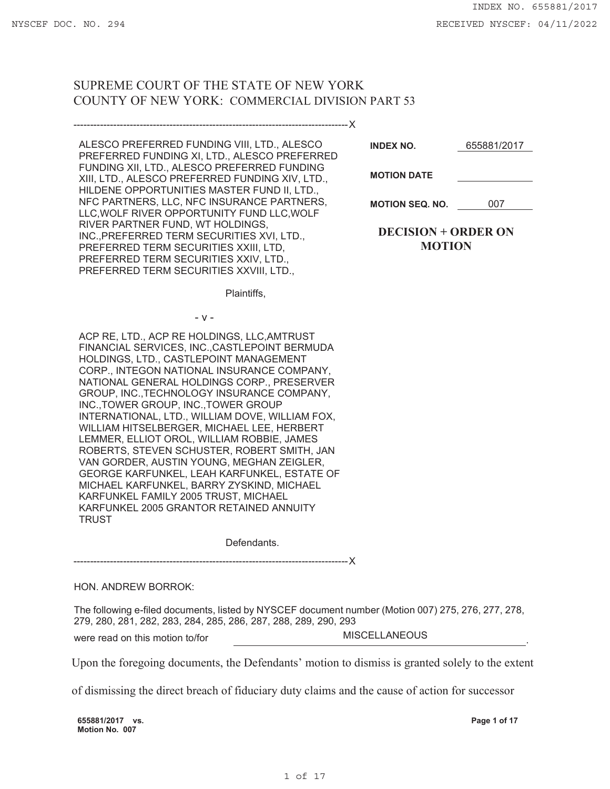# SUPREME COURT OF THE STATE OF NEW YORK COUNTY OF NEW YORK: COMMERCIAL DIVISION PART 53

| ALESCO PREFERRED FUNDING VIII, LTD., ALESCO<br>PREFERRED FUNDING XI, LTD., ALESCO PREFERRED<br>FUNDING XII, LTD., ALESCO PREFERRED FUNDING<br>XIII, LTD., ALESCO PREFERRED FUNDING XIV, LTD.,<br>HILDENE OPPORTUNITIES MASTER FUND II, LTD.,<br>NFC PARTNERS, LLC, NFC INSURANCE PARTNERS,<br>LLC, WOLF RIVER OPPORTUNITY FUND LLC, WOLF<br>RIVER PARTNER FUND, WT HOLDINGS,<br>INC., PREFERRED TERM SECURITIES XVI, LTD.,<br>PREFERRED TERM SECURITIES XXIII, LTD,<br>PREFERRED TERM SECURITIES XXIV, LTD.,<br>PREFERRED TERM SECURITIES XXVIII, LTD.,                                                                                                                                                                                                            | <b>INDEX NO.</b><br><b>MOTION DATE</b>      | 655881/2017 |
|--------------------------------------------------------------------------------------------------------------------------------------------------------------------------------------------------------------------------------------------------------------------------------------------------------------------------------------------------------------------------------------------------------------------------------------------------------------------------------------------------------------------------------------------------------------------------------------------------------------------------------------------------------------------------------------------------------------------------------------------------------------------|---------------------------------------------|-------------|
|                                                                                                                                                                                                                                                                                                                                                                                                                                                                                                                                                                                                                                                                                                                                                                    | <b>MOTION SEQ. NO.</b>                      | 007         |
|                                                                                                                                                                                                                                                                                                                                                                                                                                                                                                                                                                                                                                                                                                                                                                    | <b>DECISION + ORDER ON</b><br><b>MOTION</b> |             |
| Plaintiffs,                                                                                                                                                                                                                                                                                                                                                                                                                                                                                                                                                                                                                                                                                                                                                        |                                             |             |
| $-V -$                                                                                                                                                                                                                                                                                                                                                                                                                                                                                                                                                                                                                                                                                                                                                             |                                             |             |
| ACP RE, LTD., ACP RE HOLDINGS, LLC, AMTRUST<br>FINANCIAL SERVICES, INC., CASTLEPOINT BERMUDA<br>HOLDINGS, LTD., CASTLEPOINT MANAGEMENT<br>CORP., INTEGON NATIONAL INSURANCE COMPANY,<br>NATIONAL GENERAL HOLDINGS CORP., PRESERVER<br>GROUP, INC., TECHNOLOGY INSURANCE COMPANY,<br>INC., TOWER GROUP, INC., TOWER GROUP<br>INTERNATIONAL, LTD., WILLIAM DOVE, WILLIAM FOX,<br>WILLIAM HITSELBERGER, MICHAEL LEE, HERBERT<br>LEMMER, ELLIOT OROL, WILLIAM ROBBIE, JAMES<br>ROBERTS, STEVEN SCHUSTER, ROBERT SMITH, JAN<br>VAN GORDER, AUSTIN YOUNG, MEGHAN ZEIGLER,<br>GEORGE KARFUNKEL, LEAH KARFUNKEL, ESTATE OF<br>MICHAEL KARFUNKEL, BARRY ZYSKIND, MICHAEL<br>KARFUNKEL FAMILY 2005 TRUST, MICHAEL<br>KARFUNKEL 2005 GRANTOR RETAINED ANNUITY<br><b>TRUST</b> |                                             |             |
| Defendants.                                                                                                                                                                                                                                                                                                                                                                                                                                                                                                                                                                                                                                                                                                                                                        |                                             |             |
|                                                                                                                                                                                                                                                                                                                                                                                                                                                                                                                                                                                                                                                                                                                                                                    |                                             |             |

### HON. ANDREW BORROK:

The following e-filed documents, listed by NYSCEF document number (Motion 007) 275, 276, 277, 278, 279, 280, 281, 282, 283, 284, 285, 286, 287, 288, 289, 290, 293

were read on this motion to/for **MISCELLANEOUS** 

Upon the foregoing documents, the Defendants' motion to dismiss is granted solely to the extent

of dismissing the direct breach of fiduciary duty claims and the cause of action for successor

**655881/2017 vs. Motion No. 007**

**Page 1 of 17**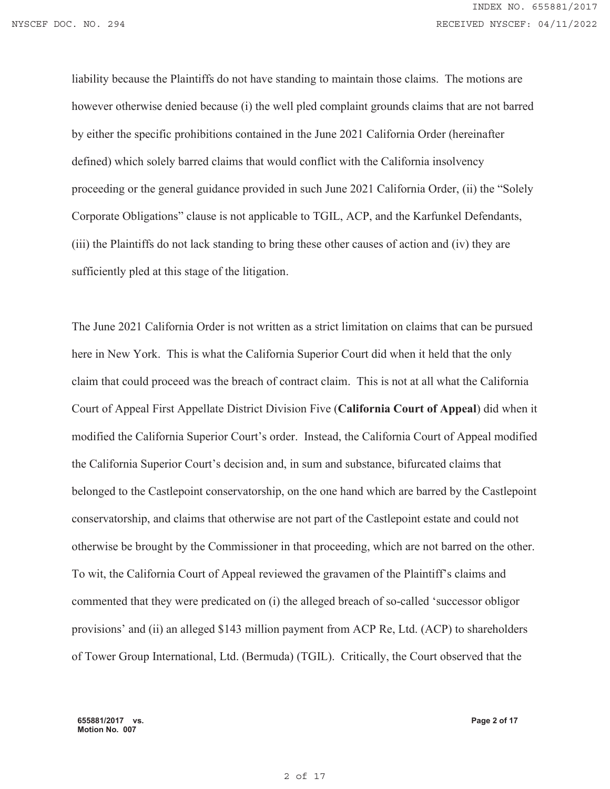liability because the Plaintiffs do not have standing to maintain those claims. The motions are however otherwise denied because (i) the well pled complaint grounds claims that are not barred by either the specific prohibitions contained in the June 2021 California Order (hereinafter defined) which solely barred claims that would conflict with the California insolvency proceeding or the general guidance provided in such June 2021 California Order, (ii) the "Solely Corporate Obligations" clause is not applicable to TGIL, ACP, and the Karfunkel Defendants, (iii) the Plaintiffs do not lack standing to bring these other causes of action and (iv) they are sufficiently pled at this stage of the litigation.

The June 2021 California Order is not written as a strict limitation on claims that can be pursued here in New York. This is what the California Superior Court did when it held that the only claim that could proceed was the breach of contract claim. This is not at all what the California Court of Appeal First Appellate District Division Five (**California Court of Appeal**) did when it modified the California Superior Court's order. Instead, the California Court of Appeal modified the California Superior Court's decision and, in sum and substance, bifurcated claims that belonged to the Castlepoint conservatorship, on the one hand which are barred by the Castlepoint conservatorship, and claims that otherwise are not part of the Castlepoint estate and could not otherwise be brought by the Commissioner in that proceeding, which are not barred on the other. To wit, the California Court of Appeal reviewed the gravamen of the Plaintiff's claims and commented that they were predicated on (i) the alleged breach of so-called 'successor obligor provisions' and (ii) an alleged \$143 million payment from ACP Re, Ltd. (ACP) to shareholders of Tower Group International, Ltd. (Bermuda) (TGIL). Critically, the Court observed that the

**655881/2017 vs. Motion No. 007**

**Page 2 of 17**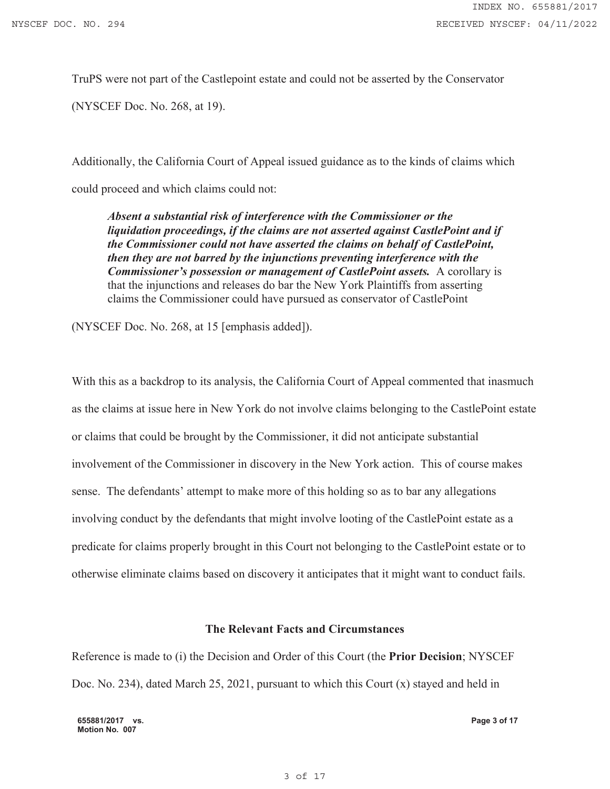TruPS were not part of the Castlepoint estate and could not be asserted by the Conservator

(NYSCEF Doc. No. 268, at 19).

Additionally, the California Court of Appeal issued guidance as to the kinds of claims which could proceed and which claims could not:

*Absent a substantial risk of interference with the Commissioner or the liquidation proceedings, if the claims are not asserted against CastlePoint and if the Commissioner could not have asserted the claims on behalf of CastlePoint, then they are not barred by the injunctions preventing interference with the Commissioner's possession or management of CastlePoint assets.* A corollary is that the injunctions and releases do bar the New York Plaintiffs from asserting claims the Commissioner could have pursued as conservator of CastlePoint

(NYSCEF Doc. No. 268, at 15 [emphasis added]).

With this as a backdrop to its analysis, the California Court of Appeal commented that inasmuch as the claims at issue here in New York do not involve claims belonging to the CastlePoint estate or claims that could be brought by the Commissioner, it did not anticipate substantial involvement of the Commissioner in discovery in the New York action. This of course makes sense. The defendants' attempt to make more of this holding so as to bar any allegations involving conduct by the defendants that might involve looting of the CastlePoint estate as a predicate for claims properly brought in this Court not belonging to the CastlePoint estate or to otherwise eliminate claims based on discovery it anticipates that it might want to conduct fails.

#### **The Relevant Facts and Circumstances**

Reference is made to (i) the Decision and Order of this Court (the **Prior Decision**; NYSCEF Doc. No. 234), dated March 25, 2021, pursuant to which this Court (x) stayed and held in

**655881/2017 vs. Motion No. 007**

**Page 3 of 17**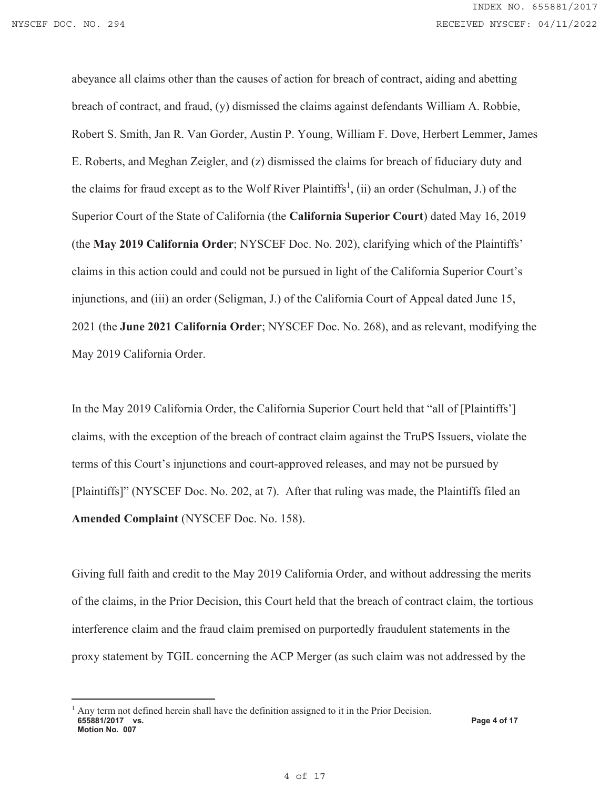abeyance all claims other than the causes of action for breach of contract, aiding and abetting breach of contract, and fraud, (y) dismissed the claims against defendants William A. Robbie, Robert S. Smith, Jan R. Van Gorder, Austin P. Young, William F. Dove, Herbert Lemmer, James E. Roberts, and Meghan Zeigler, and (z) dismissed the claims for breach of fiduciary duty and the claims for fraud except as to the Wolf River Plaintiffs<sup>1</sup>, (ii) an order (Schulman, J.) of the Superior Court of the State of California (the **California Superior Court**) dated May 16, 2019 (the **May 2019 California Order**; NYSCEF Doc. No. 202), clarifying which of the Plaintiffs' claims in this action could and could not be pursued in light of the California Superior Court's injunctions, and (iii) an order (Seligman, J.) of the California Court of Appeal dated June 15, 2021 (the **June 2021 California Order**; NYSCEF Doc. No. 268), and as relevant, modifying the May 2019 California Order.

In the May 2019 California Order, the California Superior Court held that "all of [Plaintiffs'] claims, with the exception of the breach of contract claim against the TruPS Issuers, violate the terms of this Court's injunctions and court-approved releases, and may not be pursued by [Plaintiffs]" (NYSCEF Doc. No. 202, at 7). After that ruling was made, the Plaintiffs filed an **Amended Complaint** (NYSCEF Doc. No. 158).

Giving full faith and credit to the May 2019 California Order, and without addressing the merits of the claims, in the Prior Decision, this Court held that the breach of contract claim, the tortious interference claim and the fraud claim premised on purportedly fraudulent statements in the proxy statement by TGIL concerning the ACP Merger (as such claim was not addressed by the

**<sup>655881/2017</sup> vs. Motion No. 007 Page 4 of 17**  1 Any term not defined herein shall have the definition assigned to it in the Prior Decision.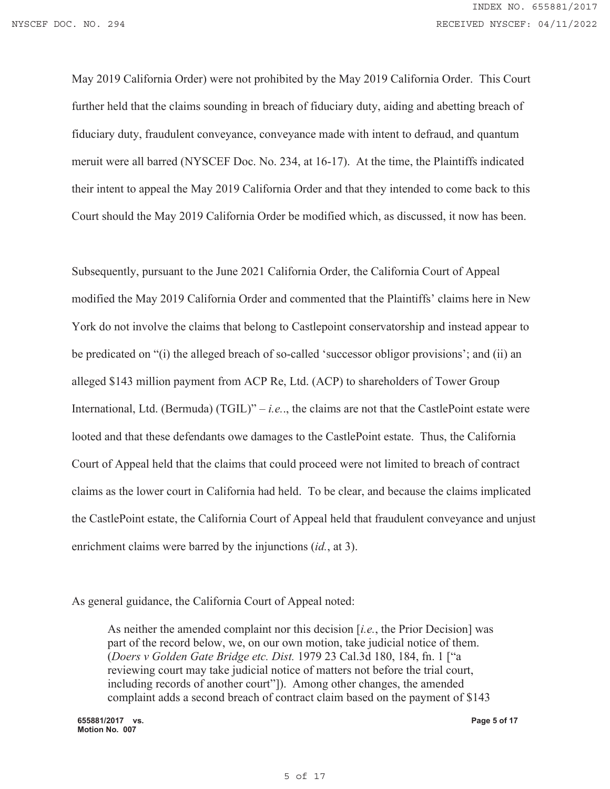May 2019 California Order) were not prohibited by the May 2019 California Order. This Court further held that the claims sounding in breach of fiduciary duty, aiding and abetting breach of fiduciary duty, fraudulent conveyance, conveyance made with intent to defraud, and quantum meruit were all barred (NYSCEF Doc. No. 234, at 16-17). At the time, the Plaintiffs indicated their intent to appeal the May 2019 California Order and that they intended to come back to this Court should the May 2019 California Order be modified which, as discussed, it now has been.

Subsequently, pursuant to the June 2021 California Order, the California Court of Appeal modified the May 2019 California Order and commented that the Plaintiffs' claims here in New York do not involve the claims that belong to Castlepoint conservatorship and instead appear to be predicated on "(i) the alleged breach of so-called 'successor obligor provisions'; and (ii) an alleged \$143 million payment from ACP Re, Ltd. (ACP) to shareholders of Tower Group International, Ltd. (Bermuda) (TGIL)" – *i.e.*., the claims are not that the CastlePoint estate were looted and that these defendants owe damages to the CastlePoint estate. Thus, the California Court of Appeal held that the claims that could proceed were not limited to breach of contract claims as the lower court in California had held. To be clear, and because the claims implicated the CastlePoint estate, the California Court of Appeal held that fraudulent conveyance and unjust enrichment claims were barred by the injunctions (*id.*, at 3).

As general guidance, the California Court of Appeal noted:

As neither the amended complaint nor this decision [*i.e.*, the Prior Decision] was part of the record below, we, on our own motion, take judicial notice of them. (*Doers v Golden Gate Bridge etc. Dist.* 1979 23 Cal.3d 180, 184, fn. 1 ["a reviewing court may take judicial notice of matters not before the trial court, including records of another court"]). Among other changes, the amended complaint adds a second breach of contract claim based on the payment of \$143

**655881/2017 vs. Motion No. 007**

**Page 5 of 17**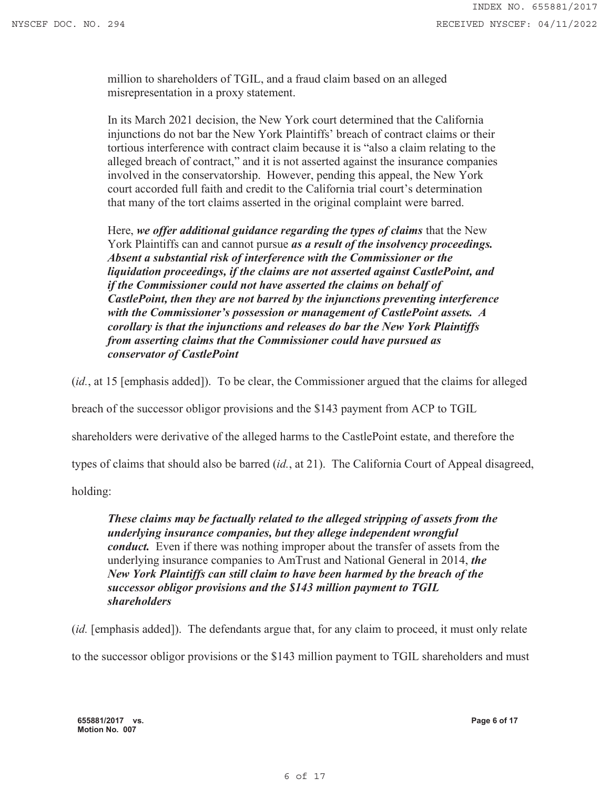million to shareholders of TGIL, and a fraud claim based on an alleged misrepresentation in a proxy statement.

In its March 2021 decision, the New York court determined that the California injunctions do not bar the New York Plaintiffs' breach of contract claims or their tortious interference with contract claim because it is "also a claim relating to the alleged breach of contract," and it is not asserted against the insurance companies involved in the conservatorship. However, pending this appeal, the New York court accorded full faith and credit to the California trial court's determination that many of the tort claims asserted in the original complaint were barred.

Here, *we offer additional guidance regarding the types of claims* that the New York Plaintiffs can and cannot pursue *as a result of the insolvency proceedings. Absent a substantial risk of interference with the Commissioner or the liquidation proceedings, if the claims are not asserted against CastlePoint, and if the Commissioner could not have asserted the claims on behalf of CastlePoint, then they are not barred by the injunctions preventing interference with the Commissioner's possession or management of CastlePoint assets. A corollary is that the injunctions and releases do bar the New York Plaintiffs from asserting claims that the Commissioner could have pursued as conservator of CastlePoint*

(*id.*, at 15 [emphasis added]). To be clear, the Commissioner argued that the claims for alleged

breach of the successor obligor provisions and the \$143 payment from ACP to TGIL

shareholders were derivative of the alleged harms to the CastlePoint estate, and therefore the

types of claims that should also be barred (*id.*, at 21). The California Court of Appeal disagreed,

holding:

*These claims may be factually related to the alleged stripping of assets from the underlying insurance companies, but they allege independent wrongful conduct.* Even if there was nothing improper about the transfer of assets from the underlying insurance companies to AmTrust and National General in 2014, *the New York Plaintiffs can still claim to have been harmed by the breach of the successor obligor provisions and the \$143 million payment to TGIL shareholders*

(*id.* [emphasis added]). The defendants argue that, for any claim to proceed, it must only relate

to the successor obligor provisions or the \$143 million payment to TGIL shareholders and must

**655881/2017 vs. Motion No. 007**

**Page 6 of 17**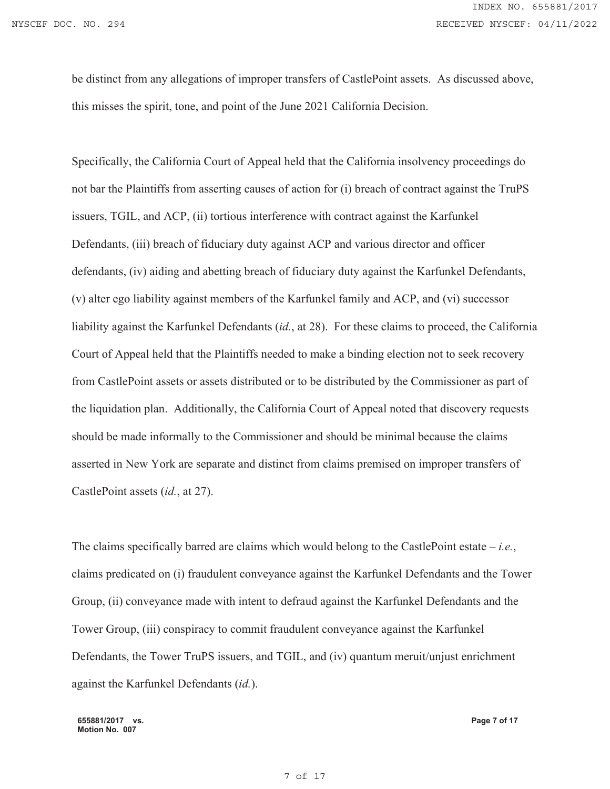be distinct from any allegations of improper transfers of CastlePoint assets. As discussed above, this misses the spirit, tone, and point of the June 2021 California Decision.

Specifically, the California Court of Appeal held that the California insolvency proceedings do not bar the Plaintiffs from asserting causes of action for (i) breach of contract against the TruPS issuers, TGIL, and ACP, (ii) tortious interference with contract against the Karfunkel Defendants, (iii) breach of fiduciary duty against ACP and various director and officer defendants, (iv) aiding and abetting breach of fiduciary duty against the Karfunkel Defendants, (v) alter ego liability against members of the Karfunkel family and ACP, and (vi) successor liability against the Karfunkel Defendants (*id.*, at 28). For these claims to proceed, the California Court of Appeal held that the Plaintiffs needed to make a binding election not to seek recovery from CastlePoint assets or assets distributed or to be distributed by the Commissioner as part of the liquidation plan. Additionally, the California Court of Appeal noted that discovery requests should be made informally to the Commissioner and should be minimal because the claims asserted in New York are separate and distinct from claims premised on improper transfers of CastlePoint assets (*id.*, at 27).

The claims specifically barred are claims which would belong to the CastlePoint estate – *i.e.*, claims predicated on (i) fraudulent conveyance against the Karfunkel Defendants and the Tower Group, (ii) conveyance made with intent to defraud against the Karfunkel Defendants and the Tower Group, (iii) conspiracy to commit fraudulent conveyance against the Karfunkel Defendants, the Tower TruPS issuers, and TGIL, and (iv) quantum meruit/unjust enrichment against the Karfunkel Defendants (*id.*).

**655881/2017 vs. Motion No. 007**

**Page 7 of 17**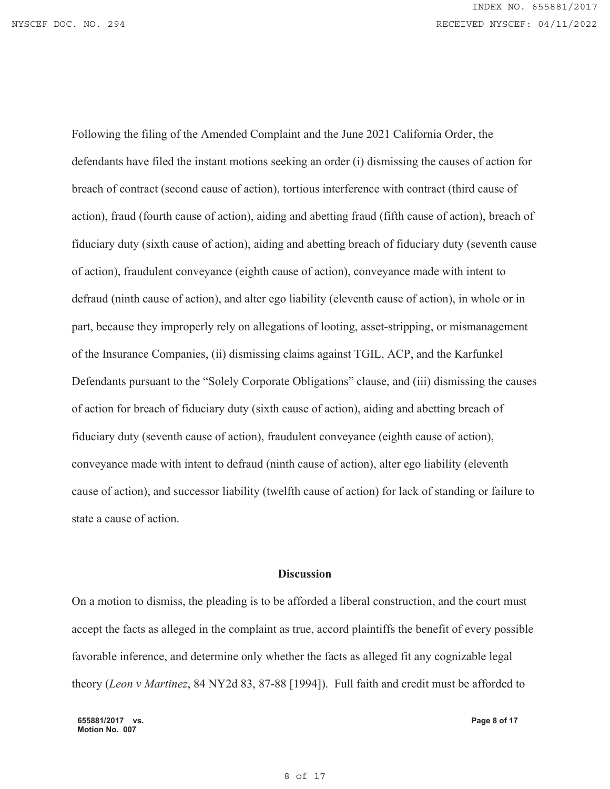Following the filing of the Amended Complaint and the June 2021 California Order, the defendants have filed the instant motions seeking an order (i) dismissing the causes of action for breach of contract (second cause of action), tortious interference with contract (third cause of action), fraud (fourth cause of action), aiding and abetting fraud (fifth cause of action), breach of fiduciary duty (sixth cause of action), aiding and abetting breach of fiduciary duty (seventh cause of action), fraudulent conveyance (eighth cause of action), conveyance made with intent to defraud (ninth cause of action), and alter ego liability (eleventh cause of action), in whole or in part, because they improperly rely on allegations of looting, asset-stripping, or mismanagement of the Insurance Companies, (ii) dismissing claims against TGIL, ACP, and the Karfunkel Defendants pursuant to the "Solely Corporate Obligations" clause, and (iii) dismissing the causes of action for breach of fiduciary duty (sixth cause of action), aiding and abetting breach of fiduciary duty (seventh cause of action), fraudulent conveyance (eighth cause of action), conveyance made with intent to defraud (ninth cause of action), alter ego liability (eleventh cause of action), and successor liability (twelfth cause of action) for lack of standing or failure to state a cause of action.

### **Discussion**

On a motion to dismiss, the pleading is to be afforded a liberal construction, and the court must accept the facts as alleged in the complaint as true, accord plaintiffs the benefit of every possible favorable inference, and determine only whether the facts as alleged fit any cognizable legal theory (*Leon v Martinez*, 84 NY2d 83, 87-88 [1994]). Full faith and credit must be afforded to

**655881/2017 vs. Motion No. 007**

**Page 8 of 17**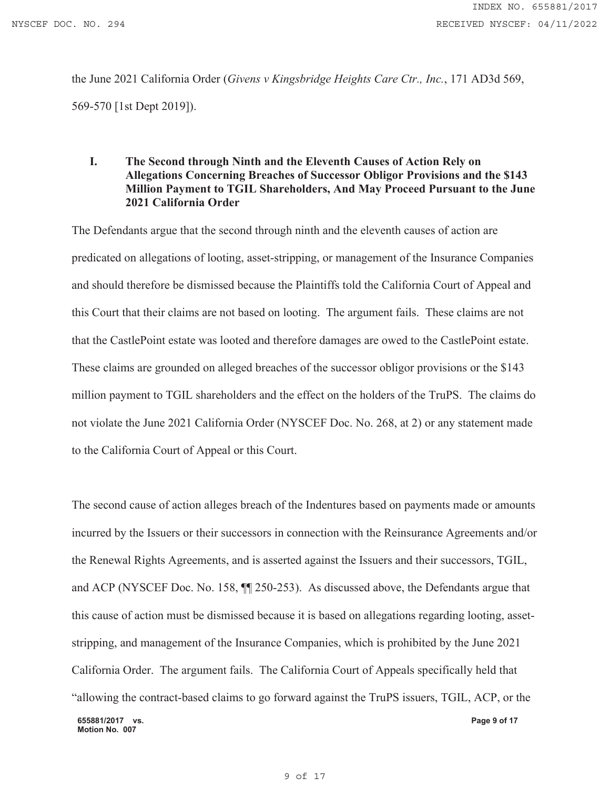the June 2021 California Order (*Givens v Kingsbridge Heights Care Ctr., Inc.*, 171 AD3d 569, 569-570 [1st Dept 2019]).

### **I. The Second through Ninth and the Eleventh Causes of Action Rely on Allegations Concerning Breaches of Successor Obligor Provisions and the \$143 Million Payment to TGIL Shareholders, And May Proceed Pursuant to the June 2021 California Order**

The Defendants argue that the second through ninth and the eleventh causes of action are predicated on allegations of looting, asset-stripping, or management of the Insurance Companies and should therefore be dismissed because the Plaintiffs told the California Court of Appeal and this Court that their claims are not based on looting. The argument fails. These claims are not that the CastlePoint estate was looted and therefore damages are owed to the CastlePoint estate. These claims are grounded on alleged breaches of the successor obligor provisions or the \$143 million payment to TGIL shareholders and the effect on the holders of the TruPS. The claims do not violate the June 2021 California Order (NYSCEF Doc. No. 268, at 2) or any statement made to the California Court of Appeal or this Court.

**655881/2017 vs. Motion No. 007 Page 9 of 17**  The second cause of action alleges breach of the Indentures based on payments made or amounts incurred by the Issuers or their successors in connection with the Reinsurance Agreements and/or the Renewal Rights Agreements, and is asserted against the Issuers and their successors, TGIL, and ACP (NYSCEF Doc. No. 158, ¶¶ 250-253). As discussed above, the Defendants argue that this cause of action must be dismissed because it is based on allegations regarding looting, assetstripping, and management of the Insurance Companies, which is prohibited by the June 2021 California Order. The argument fails. The California Court of Appeals specifically held that "allowing the contract-based claims to go forward against the TruPS issuers, TGIL, ACP, or the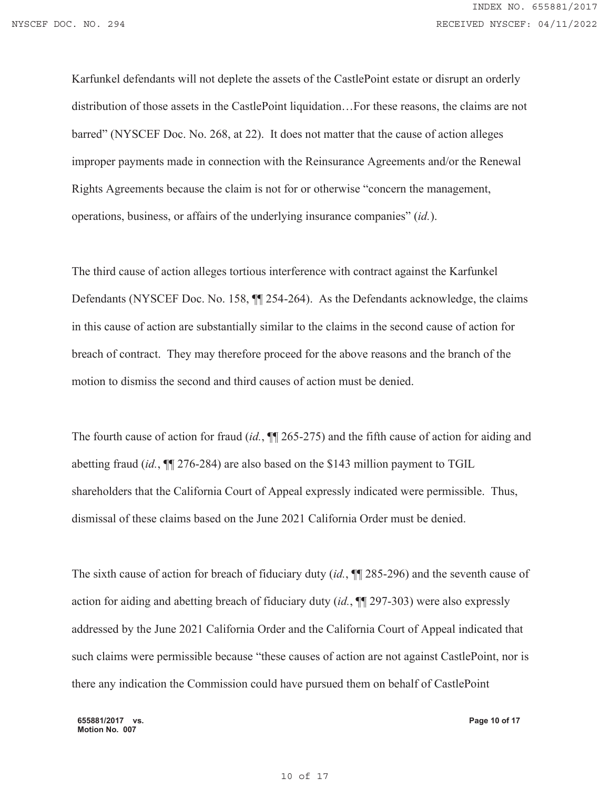Karfunkel defendants will not deplete the assets of the CastlePoint estate or disrupt an orderly distribution of those assets in the CastlePoint liquidation…For these reasons, the claims are not barred" (NYSCEF Doc. No. 268, at 22). It does not matter that the cause of action alleges improper payments made in connection with the Reinsurance Agreements and/or the Renewal Rights Agreements because the claim is not for or otherwise "concern the management, operations, business, or affairs of the underlying insurance companies" (*id.*).

The third cause of action alleges tortious interference with contract against the Karfunkel Defendants (NYSCEF Doc. No. 158, ¶¶ 254-264). As the Defendants acknowledge, the claims in this cause of action are substantially similar to the claims in the second cause of action for breach of contract. They may therefore proceed for the above reasons and the branch of the motion to dismiss the second and third causes of action must be denied.

The fourth cause of action for fraud *(id.*,  $\sqrt{2}$  265-275) and the fifth cause of action for aiding and abetting fraud (*id.*, ¶¶ 276-284) are also based on the \$143 million payment to TGIL shareholders that the California Court of Appeal expressly indicated were permissible. Thus, dismissal of these claims based on the June 2021 California Order must be denied.

The sixth cause of action for breach of fiduciary duty (*id.*,  $\P$  285-296) and the seventh cause of action for aiding and abetting breach of fiduciary duty (*id.*, ¶¶ 297-303) were also expressly addressed by the June 2021 California Order and the California Court of Appeal indicated that such claims were permissible because "these causes of action are not against CastlePoint, nor is there any indication the Commission could have pursued them on behalf of CastlePoint

**655881/2017 vs. Motion No. 007**

**Page 10 of 17**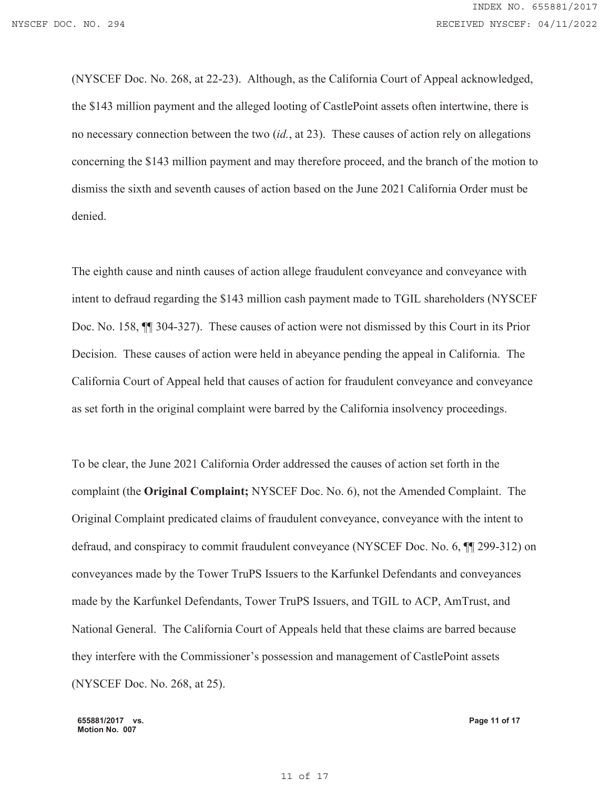(NYSCEF Doc. No. 268, at 22-23). Although, as the California Court of Appeal acknowledged, the \$143 million payment and the alleged looting of CastlePoint assets often intertwine, there is no necessary connection between the two (*id.*, at 23). These causes of action rely on allegations concerning the \$143 million payment and may therefore proceed, and the branch of the motion to dismiss the sixth and seventh causes of action based on the June 2021 California Order must be denied.

The eighth cause and ninth causes of action allege fraudulent conveyance and conveyance with intent to defraud regarding the \$143 million cash payment made to TGIL shareholders (NYSCEF Doc. No. 158, ¶¶ 304-327). These causes of action were not dismissed by this Court in its Prior Decision. These causes of action were held in abeyance pending the appeal in California. The California Court of Appeal held that causes of action for fraudulent conveyance and conveyance as set forth in the original complaint were barred by the California insolvency proceedings.

To be clear, the June 2021 California Order addressed the causes of action set forth in the complaint (the **Original Complaint;** NYSCEF Doc. No. 6), not the Amended Complaint. The Original Complaint predicated claims of fraudulent conveyance, conveyance with the intent to defraud, and conspiracy to commit fraudulent conveyance (NYSCEF Doc. No. 6, ¶¶ 299-312) on conveyances made by the Tower TruPS Issuers to the Karfunkel Defendants and conveyances made by the Karfunkel Defendants, Tower TruPS Issuers, and TGIL to ACP, AmTrust, and National General. The California Court of Appeals held that these claims are barred because they interfere with the Commissioner's possession and management of CastlePoint assets (NYSCEF Doc. No. 268, at 25).

**655881/2017 vs. Motion No. 007**

**Page 11 of 17**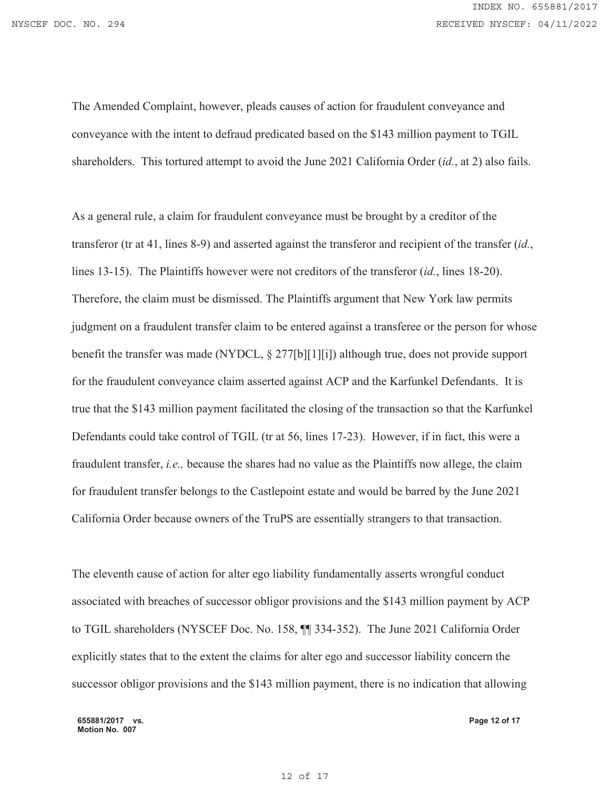INDEX NO. 655881/2017 NYSCEF DOC. NO. 294 **RECEIVED NYSCEF: 04/11/2022** 

> The Amended Complaint, however, pleads causes of action for fraudulent conveyance and conveyance with the intent to defraud predicated based on the \$143 million payment to TGIL shareholders. This tortured attempt to avoid the June 2021 California Order (*id.*, at 2) also fails.

As a general rule, a claim for fraudulent conveyance must be brought by a creditor of the transferor (tr at 41, lines 8-9) and asserted against the transferor and recipient of the transfer (*id.*, lines 13-15). The Plaintiffs however were not creditors of the transferor (*id.*, lines 18-20). Therefore, the claim must be dismissed. The Plaintiffs argument that New York law permits judgment on a fraudulent transfer claim to be entered against a transferee or the person for whose benefit the transfer was made (NYDCL, § 277[b][1][i]) although true, does not provide support for the fraudulent conveyance claim asserted against ACP and the Karfunkel Defendants. It is true that the \$143 million payment facilitated the closing of the transaction so that the Karfunkel Defendants could take control of TGIL (tr at 56, lines 17-23). However, if in fact, this were a fraudulent transfer, *i.e.,* because the shares had no value as the Plaintiffs now allege, the claim for fraudulent transfer belongs to the Castlepoint estate and would be barred by the June 2021 California Order because owners of the TruPS are essentially strangers to that transaction.

The eleventh cause of action for alter ego liability fundamentally asserts wrongful conduct associated with breaches of successor obligor provisions and the \$143 million payment by ACP to TGIL shareholders (NYSCEF Doc. No. 158, ¶¶ 334-352). The June 2021 California Order explicitly states that to the extent the claims for alter ego and successor liability concern the successor obligor provisions and the \$143 million payment, there is no indication that allowing

**655881/2017 vs. Motion No. 007**

**Page 12 of 17**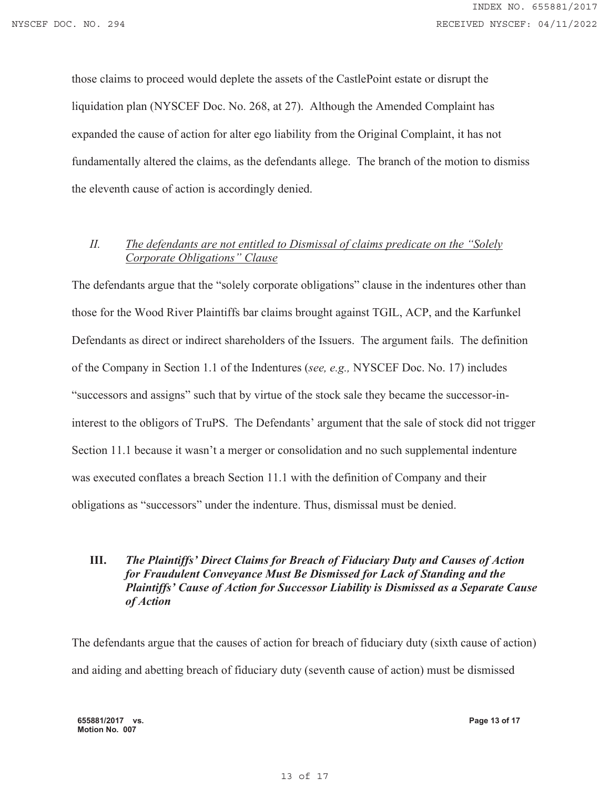those claims to proceed would deplete the assets of the CastlePoint estate or disrupt the liquidation plan (NYSCEF Doc. No. 268, at 27). Although the Amended Complaint has expanded the cause of action for alter ego liability from the Original Complaint, it has not fundamentally altered the claims, as the defendants allege. The branch of the motion to dismiss the eleventh cause of action is accordingly denied.

## *II. The defendants are not entitled to Dismissal of claims predicate on the "Solely Corporate Obligations" Clause*

The defendants argue that the "solely corporate obligations" clause in the indentures other than those for the Wood River Plaintiffs bar claims brought against TGIL, ACP, and the Karfunkel Defendants as direct or indirect shareholders of the Issuers. The argument fails. The definition of the Company in Section 1.1 of the Indentures (*see, e.g.,* NYSCEF Doc. No. 17) includes "successors and assigns" such that by virtue of the stock sale they became the successor-ininterest to the obligors of TruPS. The Defendants' argument that the sale of stock did not trigger Section 11.1 because it wasn't a merger or consolidation and no such supplemental indenture was executed conflates a breach Section 11.1 with the definition of Company and their obligations as "successors" under the indenture. Thus, dismissal must be denied.

# **III.** *The Plaintiffs' Direct Claims for Breach of Fiduciary Duty and Causes of Action for Fraudulent Conveyance Must Be Dismissed for Lack of Standing and the Plaintiffs' Cause of Action for Successor Liability is Dismissed as a Separate Cause of Action*

The defendants argue that the causes of action for breach of fiduciary duty (sixth cause of action) and aiding and abetting breach of fiduciary duty (seventh cause of action) must be dismissed

**655881/2017 vs. Motion No. 007**

**Page 13 of 17**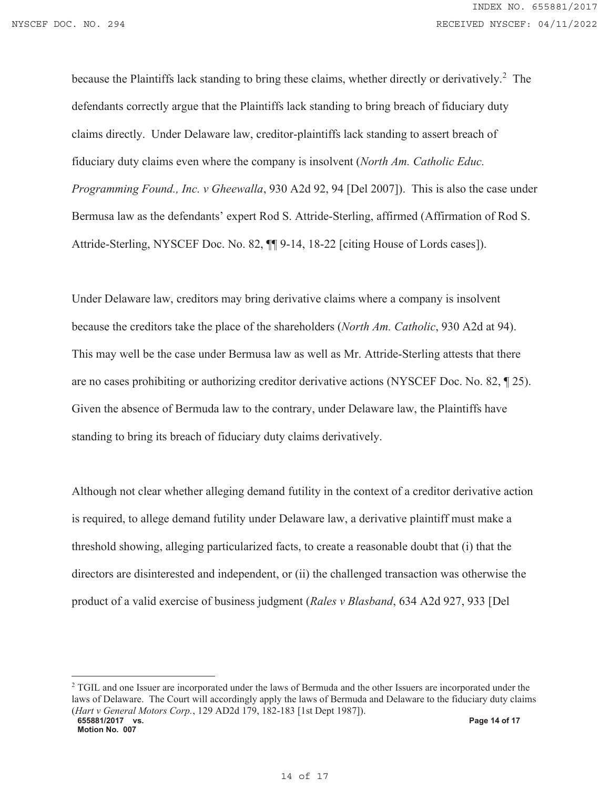because the Plaintiffs lack standing to bring these claims, whether directly or derivatively.<sup>2</sup> The defendants correctly argue that the Plaintiffs lack standing to bring breach of fiduciary duty claims directly. Under Delaware law, creditor-plaintiffs lack standing to assert breach of fiduciary duty claims even where the company is insolvent (*North Am. Catholic Educ. Programming Found., Inc. v Gheewalla*, 930 A2d 92, 94 [Del 2007]). This is also the case under Bermusa law as the defendants' expert Rod S. Attride-Sterling, affirmed (Affirmation of Rod S. Attride-Sterling, NYSCEF Doc. No. 82, ¶¶ 9-14, 18-22 [citing House of Lords cases]).

Under Delaware law, creditors may bring derivative claims where a company is insolvent because the creditors take the place of the shareholders (*North Am. Catholic*, 930 A2d at 94). This may well be the case under Bermusa law as well as Mr. Attride-Sterling attests that there are no cases prohibiting or authorizing creditor derivative actions (NYSCEF Doc. No. 82, ¶ 25). Given the absence of Bermuda law to the contrary, under Delaware law, the Plaintiffs have standing to bring its breach of fiduciary duty claims derivatively.

Although not clear whether alleging demand futility in the context of a creditor derivative action is required, to allege demand futility under Delaware law, a derivative plaintiff must make a threshold showing, alleging particularized facts, to create a reasonable doubt that (i) that the directors are disinterested and independent, or (ii) the challenged transaction was otherwise the product of a valid exercise of business judgment (*Rales v Blasband*, 634 A2d 927, 933 [Del

<sup>&</sup>lt;sup>2</sup> TGIL and one Issuer are incorporated under the laws of Bermuda and the other Issuers are incorporated under the laws of Delaware. The Court will accordingly apply the laws of Bermuda and Delaware to the fiduciary duty claims (*Hart v General Motors Corp.*, 129 AD2d 179, 182-183 [1st Dept 1987]).

**<sup>655881/2017</sup> vs. Motion No. 007**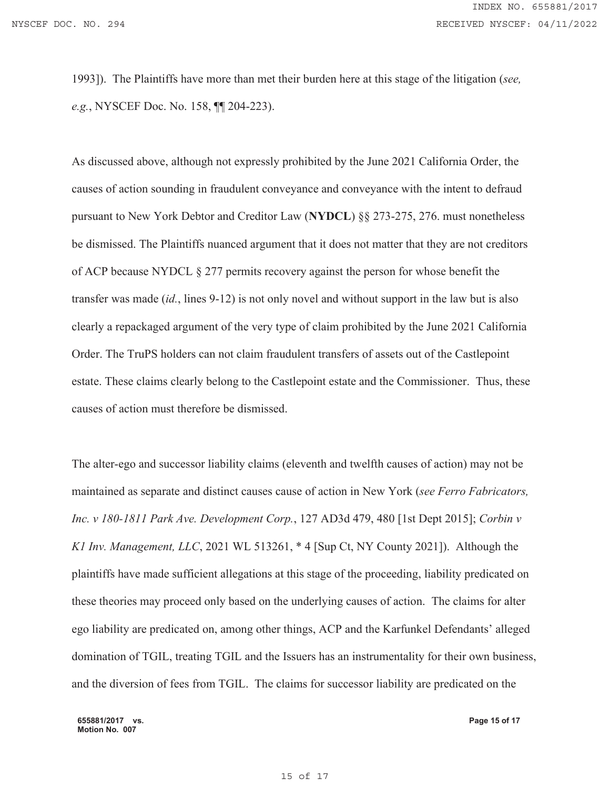1993]). The Plaintiffs have more than met their burden here at this stage of the litigation (*see, e.g.*, NYSCEF Doc. No. 158, ¶¶ 204-223).

As discussed above, although not expressly prohibited by the June 2021 California Order, the causes of action sounding in fraudulent conveyance and conveyance with the intent to defraud pursuant to New York Debtor and Creditor Law (**NYDCL**) §§ 273-275, 276. must nonetheless be dismissed. The Plaintiffs nuanced argument that it does not matter that they are not creditors of ACP because NYDCL § 277 permits recovery against the person for whose benefit the transfer was made (*id.*, lines 9-12) is not only novel and without support in the law but is also clearly a repackaged argument of the very type of claim prohibited by the June 2021 California Order. The TruPS holders can not claim fraudulent transfers of assets out of the Castlepoint estate. These claims clearly belong to the Castlepoint estate and the Commissioner. Thus, these causes of action must therefore be dismissed.

The alter-ego and successor liability claims (eleventh and twelfth causes of action) may not be maintained as separate and distinct causes cause of action in New York (*see Ferro Fabricators, Inc. v 180-1811 Park Ave. Development Corp.*, 127 AD3d 479, 480 [1st Dept 2015]; *Corbin v K1 Inv. Management, LLC*, 2021 WL 513261, \* 4 [Sup Ct, NY County 2021]). Although the plaintiffs have made sufficient allegations at this stage of the proceeding, liability predicated on these theories may proceed only based on the underlying causes of action. The claims for alter ego liability are predicated on, among other things, ACP and the Karfunkel Defendants' alleged domination of TGIL, treating TGIL and the Issuers has an instrumentality for their own business, and the diversion of fees from TGIL. The claims for successor liability are predicated on the

**655881/2017 vs. Motion No. 007**

**Page 15 of 17**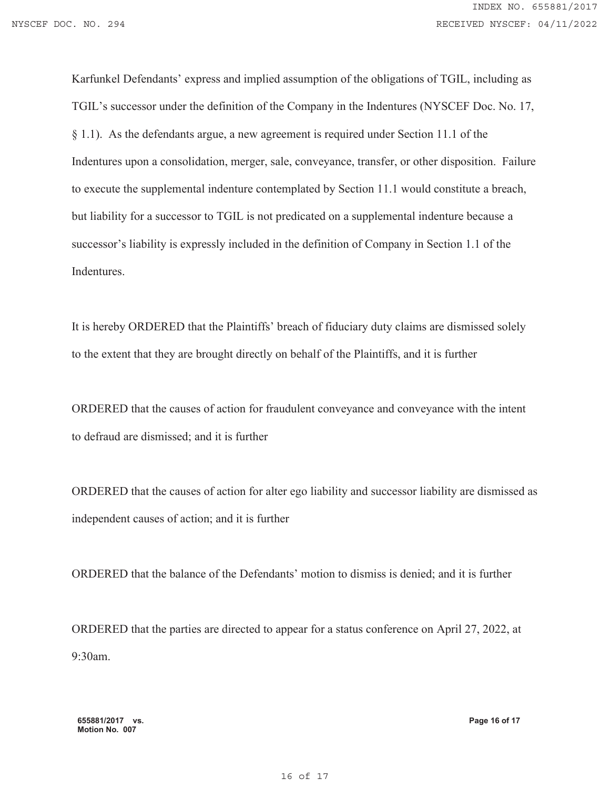Karfunkel Defendants' express and implied assumption of the obligations of TGIL, including as TGIL's successor under the definition of the Company in the Indentures (NYSCEF Doc. No. 17, § 1.1). As the defendants argue, a new agreement is required under Section 11.1 of the Indentures upon a consolidation, merger, sale, conveyance, transfer, or other disposition. Failure to execute the supplemental indenture contemplated by Section 11.1 would constitute a breach, but liability for a successor to TGIL is not predicated on a supplemental indenture because a successor's liability is expressly included in the definition of Company in Section 1.1 of the Indentures.

It is hereby ORDERED that the Plaintiffs' breach of fiduciary duty claims are dismissed solely to the extent that they are brought directly on behalf of the Plaintiffs, and it is further

ORDERED that the causes of action for fraudulent conveyance and conveyance with the intent to defraud are dismissed; and it is further

ORDERED that the causes of action for alter ego liability and successor liability are dismissed as independent causes of action; and it is further

ORDERED that the balance of the Defendants' motion to dismiss is denied; and it is further

ORDERED that the parties are directed to appear for a status conference on April 27, 2022, at 9:30am.

**Page 16 of 17**